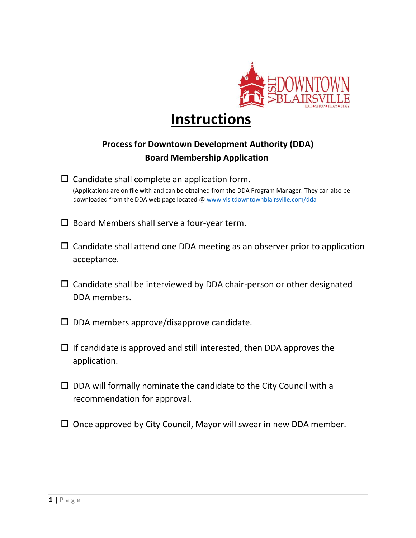

# **Instructions**

# **Process for Downtown Development Authority (DDA) Board Membership Application**

- $\square$  Candidate shall complete an application form. (Applications are on file with and can be obtained from the DDA Program Manager. They can also be downloaded from the DDA web page located @ [www.visitdowntownblairsville.com/dda](https://www.visitdowntownblairsville.com/dda)
- $\square$  Board Members shall serve a four-year term.
- $\Box$  Candidate shall attend one DDA meeting as an observer prior to application acceptance.
- $\Box$  Candidate shall be interviewed by DDA chair-person or other designated DDA members.
- $\square$  DDA members approve/disapprove candidate.
- $\Box$  If candidate is approved and still interested, then DDA approves the application.
- $\square$  DDA will formally nominate the candidate to the City Council with a recommendation for approval.
- $\square$  Once approved by City Council, Mayor will swear in new DDA member.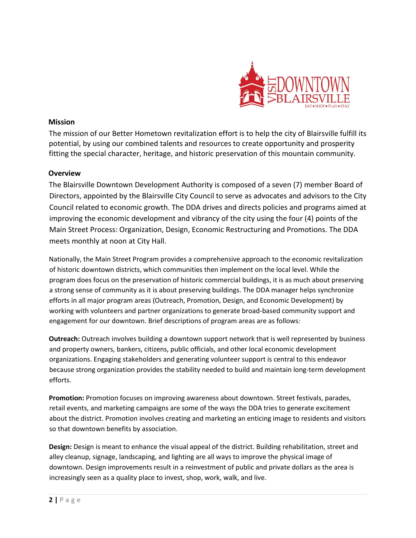

#### **Mission**

The mission of our Better Hometown revitalization effort is to help the city of Blairsville fulfill its potential, by using our combined talents and resources to create opportunity and prosperity fitting the special character, heritage, and historic preservation of this mountain community.

## **Overview**

The Blairsville Downtown Development Authority is composed of a seven (7) member Board of Directors, appointed by the Blairsville City Council to serve as advocates and advisors to the City Council related to economic growth. The DDA drives and directs policies and programs aimed at improving the economic development and vibrancy of the city using the four (4) points of the Main Street Process: Organization, Design, Economic Restructuring and Promotions. The DDA meets monthly at noon at City Hall.

Nationally, the Main Street Program provides a comprehensive approach to the economic revitalization of historic downtown districts, which communities then implement on the local level. While the program does focus on the preservation of historic commercial buildings, it is as much about preserving a strong sense of community as it is about preserving buildings. The DDA manager helps synchronize efforts in all major program areas (Outreach, Promotion, Design, and Economic Development) by working with volunteers and partner organizations to generate broad-based community support and engagement for our downtown. Brief descriptions of program areas are as follows:

**Outreach:** Outreach involves building a downtown support network that is well represented by business and property owners, bankers, citizens, public officials, and other local economic development organizations. Engaging stakeholders and generating volunteer support is central to this endeavor because strong organization provides the stability needed to build and maintain long-term development efforts.

**Promotion:** Promotion focuses on improving awareness about downtown. Street festivals, parades, retail events, and marketing campaigns are some of the ways the DDA tries to generate excitement about the district. Promotion involves creating and marketing an enticing image to residents and visitors so that downtown benefits by association.

**Design:** Design is meant to enhance the visual appeal of the district. Building rehabilitation, street and alley cleanup, signage, landscaping, and lighting are all ways to improve the physical image of downtown. Design improvements result in a reinvestment of public and private dollars as the area is increasingly seen as a quality place to invest, shop, work, walk, and live.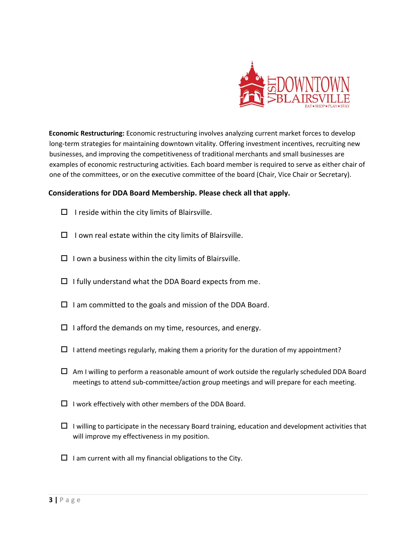

**Economic Restructuring:** Economic restructuring involves analyzing current market forces to develop long-term strategies for maintaining downtown vitality. Offering investment incentives, recruiting new businesses, and improving the competitiveness of traditional merchants and small businesses are examples of economic restructuring activities. Each board member is required to serve as either chair of one of the committees, or on the executive committee of the board (Chair, Vice Chair or Secretary).

## **Considerations for DDA Board Membership. Please check all that apply.**

- $\Box$  I reside within the city limits of Blairsville.
- $\Box$  I own real estate within the city limits of Blairsville.
- $\Box$  I own a business within the city limits of Blairsville.
- $\Box$  I fully understand what the DDA Board expects from me.
- $\square$  I am committed to the goals and mission of the DDA Board.
- $\Box$  I afford the demands on my time, resources, and energy.
- $\Box$  I attend meetings regularly, making them a priority for the duration of my appointment?
- $\Box$  Am I willing to perform a reasonable amount of work outside the regularly scheduled DDA Board meetings to attend sub-committee/action group meetings and will prepare for each meeting.
- $\Box$  I work effectively with other members of the DDA Board.
- $\Box$  I willing to participate in the necessary Board training, education and development activities that will improve my effectiveness in my position.
- $\Box$  I am current with all my financial obligations to the City.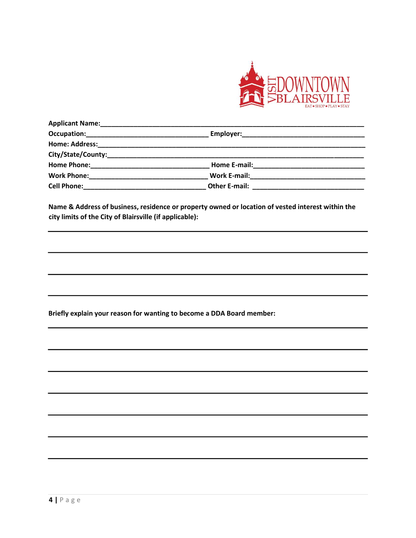

| <b>Applicant Name:</b> |                                                                                                      |  |
|------------------------|------------------------------------------------------------------------------------------------------|--|
|                        |                                                                                                      |  |
| <b>Home: Address:</b>  |                                                                                                      |  |
|                        |                                                                                                      |  |
| <b>Home Phone:</b>     | <b>Home E-mail: Example 2014</b>                                                                     |  |
|                        | Work E-mail: 2008 2010 2021 2022 2023 2024 2022 2022 2023 2024 2022 2023 2024 2022 2023 2024 2022 20 |  |
| <b>Cell Phone:</b>     | Other E-mail: _______________                                                                        |  |

**Name & Address of business, residence or property owned or location of vested interest within the city limits of the City of Blairsville (if applicable):** 

**Briefly explain your reason for wanting to become a DDA Board member:**